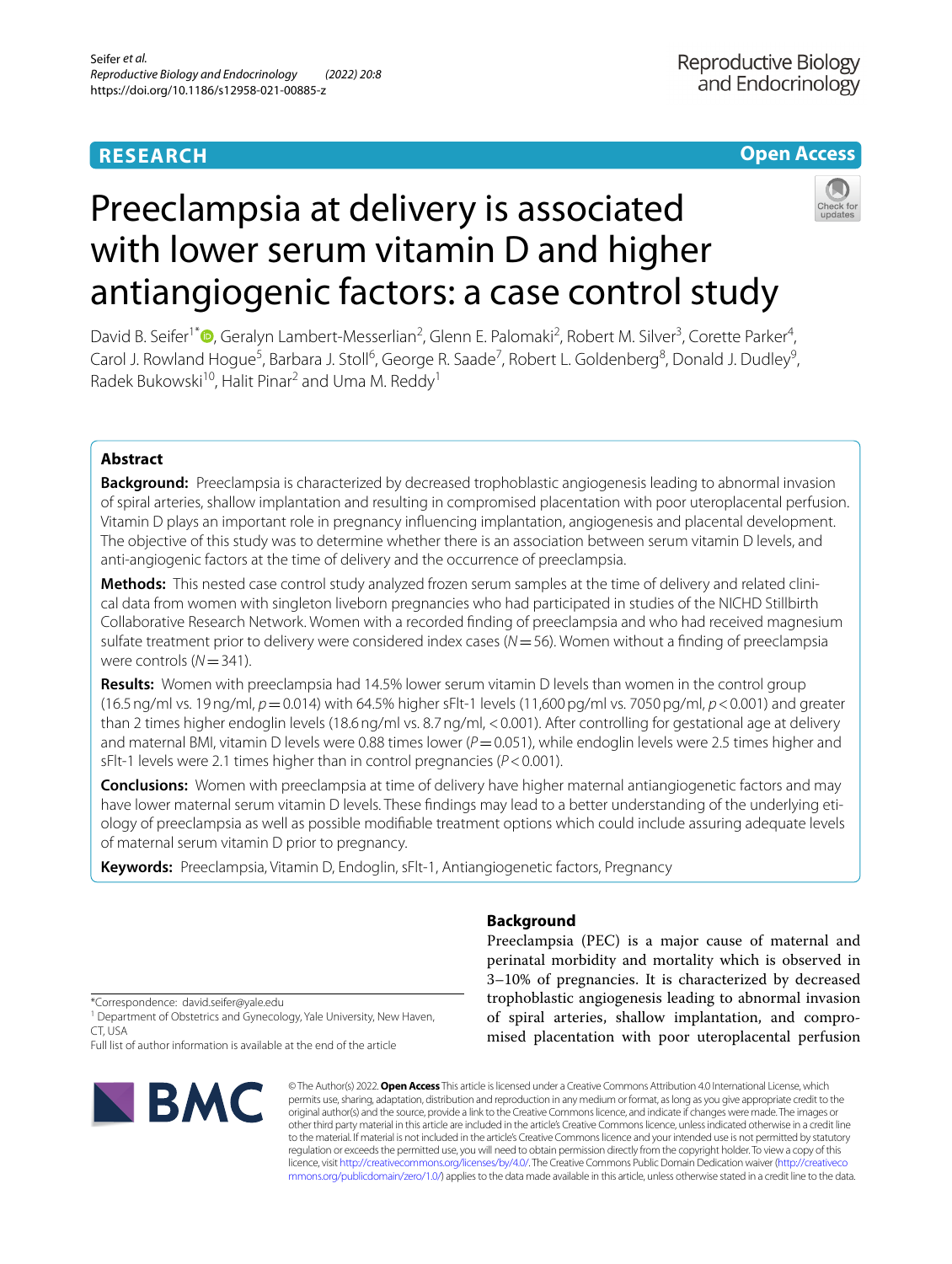# **RESEARCH**

# **Open Access**



# Preeclampsia at delivery is associated with lower serum vitamin D and higher antiangiogenic factors: a case control study

David B. Seifer<sup>1\*</sup><sup>®</sup>[,](http://orcid.org/0000-0003-3950-9341) Geralyn Lambert-Messerlian<sup>2</sup>, Glenn E. Palomaki<sup>2</sup>, Robert M. Silver<sup>3</sup>, Corette Parker<sup>4</sup>, Carol J. Rowland Hogue<sup>5</sup>, Barbara J. Stoll<sup>6</sup>, George R. Saade<sup>7</sup>, Robert L. Goldenberg<sup>8</sup>, Donald J. Dudley<sup>9</sup>, Radek Bukowski<sup>10</sup>, Halit Pinar<sup>2</sup> and Uma M. Reddy<sup>1</sup>

# **Abstract**

**Background:** Preeclampsia is characterized by decreased trophoblastic angiogenesis leading to abnormal invasion of spiral arteries, shallow implantation and resulting in compromised placentation with poor uteroplacental perfusion. Vitamin D plays an important role in pregnancy infuencing implantation, angiogenesis and placental development. The objective of this study was to determine whether there is an association between serum vitamin D levels, and anti-angiogenic factors at the time of delivery and the occurrence of preeclampsia.

Methods: This nested case control study analyzed frozen serum samples at the time of delivery and related clinical data from women with singleton liveborn pregnancies who had participated in studies of the NICHD Stillbirth Collaborative Research Network. Women with a recorded fnding of preeclampsia and who had received magnesium sulfate treatment prior to delivery were considered index cases (*N*=56). Women without a fnding of preeclampsia were controls ( $N=341$ ).

**Results:** Women with preeclampsia had 14.5% lower serum vitamin D levels than women in the control group (16.5ng/ml vs. 19ng/ml, *p*=0.014) with 64.5% higher sFlt-1 levels (11,600pg/ml vs. 7050pg/ml, *p*<0.001) and greater than 2 times higher endoglin levels (18.6 ng/ml vs. 8.7 ng/ml, <0.001). After controlling for gestational age at delivery and maternal BMI, vitamin D levels were 0.88 times lower ( $P$  = 0.051), while endoglin levels were 2.5 times higher and sFlt-1 levels were 2.1 times higher than in control pregnancies (*P*<0.001).

**Conclusions:** Women with preeclampsia at time of delivery have higher maternal antiangiogenetic factors and may have lower maternal serum vitamin D levels. These findings may lead to a better understanding of the underlying etiology of preeclampsia as well as possible modifable treatment options which could include assuring adequate levels of maternal serum vitamin D prior to pregnancy.

**Keywords:** Preeclampsia, Vitamin D, Endoglin, sFlt-1, Antiangiogenetic factors, Pregnancy

# **Background**

Preeclampsia (PEC) is a major cause of maternal and perinatal morbidity and mortality which is observed in 3–10% of pregnancies. It is characterized by decreased trophoblastic angiogenesis leading to abnormal invasion of spiral arteries, shallow implantation, and compromised placentation with poor uteroplacental perfusion

\*Correspondence: david.seifer@yale.edu

<sup>1</sup> Department of Obstetrics and Gynecology, Yale University, New Haven, CT, USA

Full list of author information is available at the end of the article



© The Author(s) 2022. **Open Access** This article is licensed under a Creative Commons Attribution 4.0 International License, which permits use, sharing, adaptation, distribution and reproduction in any medium or format, as long as you give appropriate credit to the original author(s) and the source, provide a link to the Creative Commons licence, and indicate if changes were made. The images or other third party material in this article are included in the article's Creative Commons licence, unless indicated otherwise in a credit line to the material. If material is not included in the article's Creative Commons licence and your intended use is not permitted by statutory regulation or exceeds the permitted use, you will need to obtain permission directly from the copyright holder. To view a copy of this licence, visit [http://creativecommons.org/licenses/by/4.0/.](http://creativecommons.org/licenses/by/4.0/) The Creative Commons Public Domain Dedication waiver ([http://creativeco](http://creativecommons.org/publicdomain/zero/1.0/) [mmons.org/publicdomain/zero/1.0/](http://creativecommons.org/publicdomain/zero/1.0/)) applies to the data made available in this article, unless otherwise stated in a credit line to the data.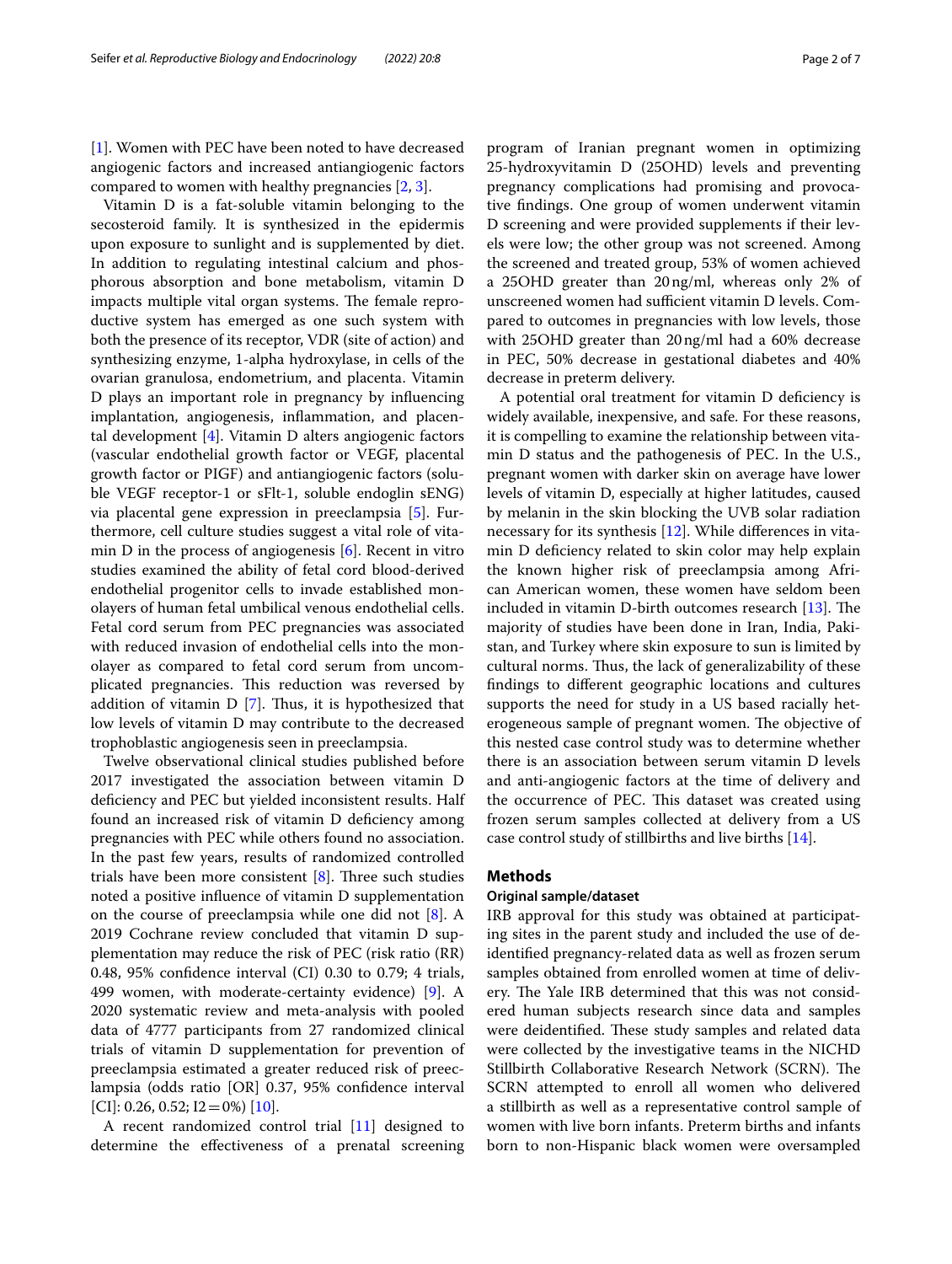[[1\]](#page-5-0). Women with PEC have been noted to have decreased angiogenic factors and increased antiangiogenic factors compared to women with healthy pregnancies [[2](#page-5-1), [3\]](#page-5-2).

Vitamin D is a fat-soluble vitamin belonging to the secosteroid family. It is synthesized in the epidermis upon exposure to sunlight and is supplemented by diet. In addition to regulating intestinal calcium and phosphorous absorption and bone metabolism, vitamin D impacts multiple vital organ systems. The female reproductive system has emerged as one such system with both the presence of its receptor, VDR (site of action) and synthesizing enzyme, 1-alpha hydroxylase, in cells of the ovarian granulosa, endometrium, and placenta. Vitamin D plays an important role in pregnancy by infuencing implantation, angiogenesis, infammation, and placental development [[4\]](#page-5-3). Vitamin D alters angiogenic factors (vascular endothelial growth factor or VEGF, placental growth factor or PIGF) and antiangiogenic factors (soluble VEGF receptor-1 or sFlt-1, soluble endoglin sENG) via placental gene expression in preeclampsia [[5\]](#page-5-4). Furthermore, cell culture studies suggest a vital role of vitamin D in the process of angiogenesis  $[6]$  $[6]$ . Recent in vitro studies examined the ability of fetal cord blood-derived endothelial progenitor cells to invade established monolayers of human fetal umbilical venous endothelial cells. Fetal cord serum from PEC pregnancies was associated with reduced invasion of endothelial cells into the monolayer as compared to fetal cord serum from uncomplicated pregnancies. This reduction was reversed by addition of vitamin  $D$  [[7\]](#page-5-6). Thus, it is hypothesized that low levels of vitamin D may contribute to the decreased trophoblastic angiogenesis seen in preeclampsia.

Twelve observational clinical studies published before 2017 investigated the association between vitamin D deficiency and PEC but yielded inconsistent results. Half found an increased risk of vitamin D deficiency among pregnancies with PEC while others found no association. In the past few years, results of randomized controlled trials have been more consistent  $[8]$  $[8]$ . Three such studies noted a positive infuence of vitamin D supplementation on the course of preeclampsia while one did not [[8](#page-5-7)]. A 2019 Cochrane review concluded that vitamin D supplementation may reduce the risk of PEC (risk ratio (RR) 0.48, 95% confdence interval (CI) 0.30 to 0.79; 4 trials, 499 women, with moderate-certainty evidence) [\[9](#page-5-8)]. A 2020 systematic review and meta-analysis with pooled data of 4777 participants from 27 randomized clinical trials of vitamin D supplementation for prevention of preeclampsia estimated a greater reduced risk of preeclampsia (odds ratio [OR] 0.37, 95% confdence interval  $[CI]: 0.26, 0.52; I2=0%$  [[10](#page-5-9)].

A recent randomized control trial [\[11](#page-5-10)] designed to determine the efectiveness of a prenatal screening program of Iranian pregnant women in optimizing 25-hydroxyvitamin D (25OHD) levels and preventing pregnancy complications had promising and provocative fndings. One group of women underwent vitamin D screening and were provided supplements if their levels were low; the other group was not screened. Among the screened and treated group, 53% of women achieved a 25OHD greater than 20ng/ml, whereas only 2% of unscreened women had sufficient vitamin D levels. Compared to outcomes in pregnancies with low levels, those with 25OHD greater than 20ng/ml had a 60% decrease in PEC, 50% decrease in gestational diabetes and 40% decrease in preterm delivery.

A potential oral treatment for vitamin D defciency is widely available, inexpensive, and safe. For these reasons, it is compelling to examine the relationship between vitamin D status and the pathogenesis of PEC. In the U.S., pregnant women with darker skin on average have lower levels of vitamin D, especially at higher latitudes, caused by melanin in the skin blocking the UVB solar radiation necessary for its synthesis [[12\]](#page-6-0). While diferences in vitamin D defciency related to skin color may help explain the known higher risk of preeclampsia among African American women, these women have seldom been included in vitamin D-birth outcomes research  $[13]$ . The majority of studies have been done in Iran, India, Pakistan, and Turkey where skin exposure to sun is limited by cultural norms. Thus, the lack of generalizability of these fndings to diferent geographic locations and cultures supports the need for study in a US based racially heterogeneous sample of pregnant women. The objective of this nested case control study was to determine whether there is an association between serum vitamin D levels and anti-angiogenic factors at the time of delivery and the occurrence of PEC. This dataset was created using frozen serum samples collected at delivery from a US case control study of stillbirths and live births [[14\]](#page-6-2).

# **Methods**

# **Original sample/dataset**

IRB approval for this study was obtained at participating sites in the parent study and included the use of deidentifed pregnancy-related data as well as frozen serum samples obtained from enrolled women at time of delivery. The Yale IRB determined that this was not considered human subjects research since data and samples were deidentified. These study samples and related data were collected by the investigative teams in the NICHD Stillbirth Collaborative Research Network (SCRN). The SCRN attempted to enroll all women who delivered a stillbirth as well as a representative control sample of women with live born infants. Preterm births and infants born to non-Hispanic black women were oversampled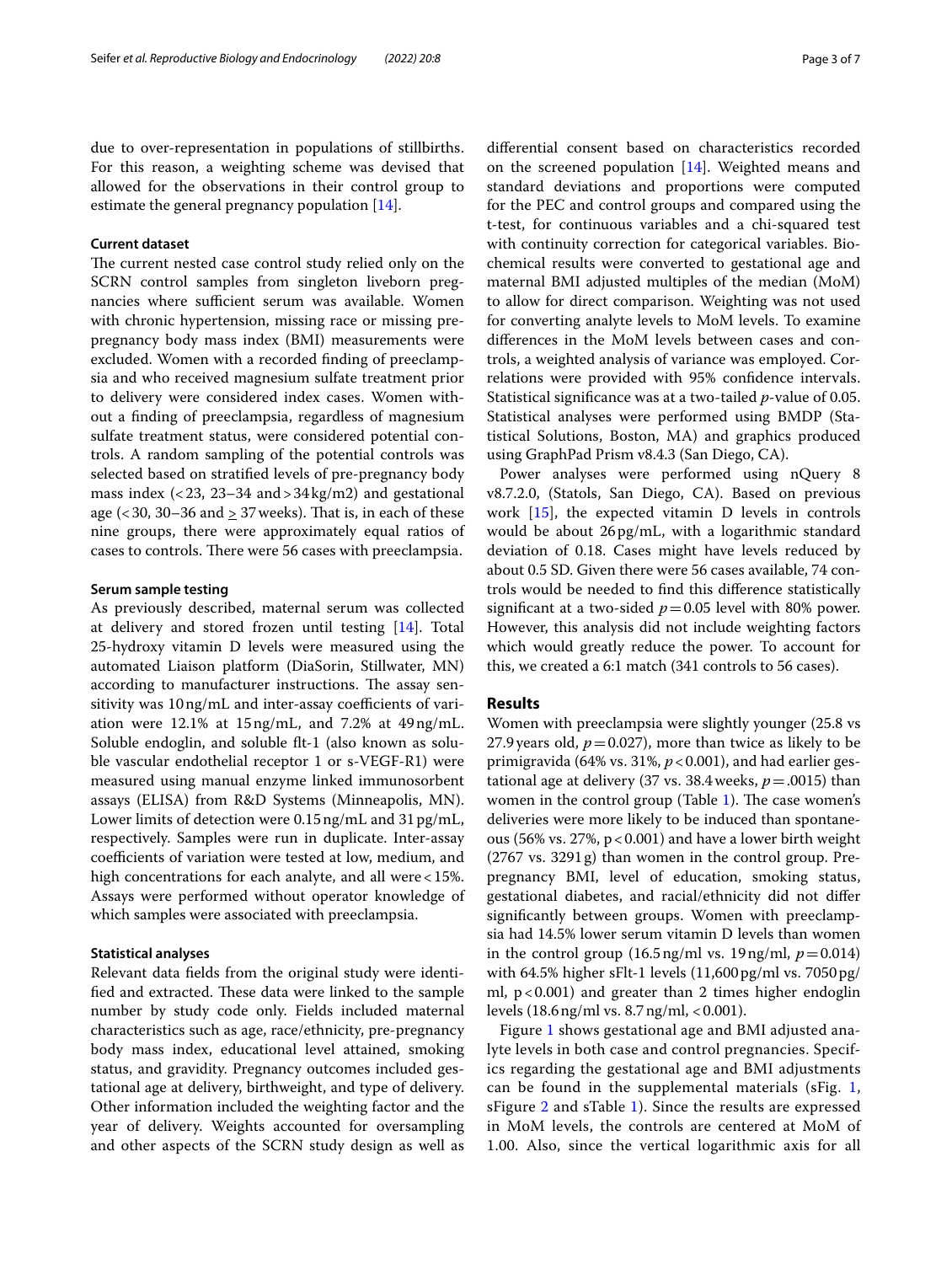due to over-representation in populations of stillbirths. For this reason, a weighting scheme was devised that allowed for the observations in their control group to estimate the general pregnancy population [\[14](#page-6-2)].

# **Current dataset**

The current nested case control study relied only on the SCRN control samples from singleton liveborn pregnancies where sufficient serum was available. Women with chronic hypertension, missing race or missing prepregnancy body mass index (BMI) measurements were excluded. Women with a recorded fnding of preeclampsia and who received magnesium sulfate treatment prior to delivery were considered index cases. Women without a fnding of preeclampsia, regardless of magnesium sulfate treatment status, were considered potential controls. A random sampling of the potential controls was selected based on stratifed levels of pre-pregnancy body mass index  $( $23$ ,  $23-34$  and  $>$  $34 \text{ kg/m2})$  and gestational$ age ( $\lt 30$ , 30–36 and  $\geq 37$  weeks). That is, in each of these nine groups, there were approximately equal ratios of cases to controls. There were 56 cases with preeclampsia.

# **Serum sample testing**

As previously described, maternal serum was collected at delivery and stored frozen until testing [\[14](#page-6-2)]. Total 25-hydroxy vitamin D levels were measured using the automated Liaison platform (DiaSorin, Stillwater, MN) according to manufacturer instructions. The assay sensitivity was 10 ng/mL and inter-assay coefficients of variation were 12.1% at 15ng/mL, and 7.2% at 49ng/mL. Soluble endoglin, and soluble ft-1 (also known as soluble vascular endothelial receptor 1 or s-VEGF-R1) were measured using manual enzyme linked immunosorbent assays (ELISA) from R&D Systems (Minneapolis, MN). Lower limits of detection were 0.15ng/mL and 31pg/mL, respectively. Samples were run in duplicate. Inter-assay coefficients of variation were tested at low, medium, and high concentrations for each analyte, and all were <15%. Assays were performed without operator knowledge of which samples were associated with preeclampsia.

# **Statistical analyses**

Relevant data felds from the original study were identified and extracted. These data were linked to the sample number by study code only. Fields included maternal characteristics such as age, race/ethnicity, pre-pregnancy body mass index, educational level attained, smoking status, and gravidity. Pregnancy outcomes included gestational age at delivery, birthweight, and type of delivery. Other information included the weighting factor and the year of delivery. Weights accounted for oversampling and other aspects of the SCRN study design as well as diferential consent based on characteristics recorded on the screened population [\[14](#page-6-2)]. Weighted means and standard deviations and proportions were computed for the PEC and control groups and compared using the t-test, for continuous variables and a chi-squared test with continuity correction for categorical variables. Biochemical results were converted to gestational age and maternal BMI adjusted multiples of the median (MoM) to allow for direct comparison. Weighting was not used for converting analyte levels to MoM levels. To examine diferences in the MoM levels between cases and controls, a weighted analysis of variance was employed. Correlations were provided with 95% confdence intervals. Statistical signifcance was at a two-tailed *p*-value of 0.05. Statistical analyses were performed using BMDP (Statistical Solutions, Boston, MA) and graphics produced using GraphPad Prism v8.4.3 (San Diego, CA).

Power analyses were performed using nQuery 8 v8.7.2.0, (Statols, San Diego, CA). Based on previous work [[15\]](#page-6-3), the expected vitamin D levels in controls would be about 26pg/mL, with a logarithmic standard deviation of 0.18. Cases might have levels reduced by about 0.5 SD. Given there were 56 cases available, 74 controls would be needed to fnd this diference statistically significant at a two-sided  $p=0.05$  level with 80% power. However, this analysis did not include weighting factors which would greatly reduce the power. To account for this, we created a 6:1 match (341 controls to 56 cases).

# **Results**

Women with preeclampsia were slightly younger (25.8 vs 27.9 years old,  $p = 0.027$ ), more than twice as likely to be primigravida (64% vs. 31%,  $p < 0.001$ ), and had earlier gestational age at delivery (37 vs. 38.4 weeks,  $p = .0015$ ) than women in the control group (Table [1](#page-3-0)). The case women's deliveries were more likely to be induced than spontaneous (56% vs. 27%,  $p < 0.001$ ) and have a lower birth weight (2767 vs. 3291g) than women in the control group. Prepregnancy BMI, level of education, smoking status, gestational diabetes, and racial/ethnicity did not difer signifcantly between groups. Women with preeclampsia had 14.5% lower serum vitamin D levels than women in the control group  $(16.5 \text{ ng/ml vs. } 19 \text{ ng/ml}, p = 0.014)$ with 64.5% higher sFlt-1 levels (11,600pg/ml vs. 7050pg/ ml,  $p < 0.001$ ) and greater than 2 times higher endoglin levels (18.6ng/ml vs. 8.7ng/ml, <0.001).

Figure [1](#page-3-1) shows gestational age and BMI adjusted analyte levels in both case and control pregnancies. Specifics regarding the gestational age and BMI adjustments can be found in the supplemental materials (sFig. [1](#page-5-11), sFigure [2](#page-5-11) and sTable [1\)](#page-5-11). Since the results are expressed in MoM levels, the controls are centered at MoM of 1.00. Also, since the vertical logarithmic axis for all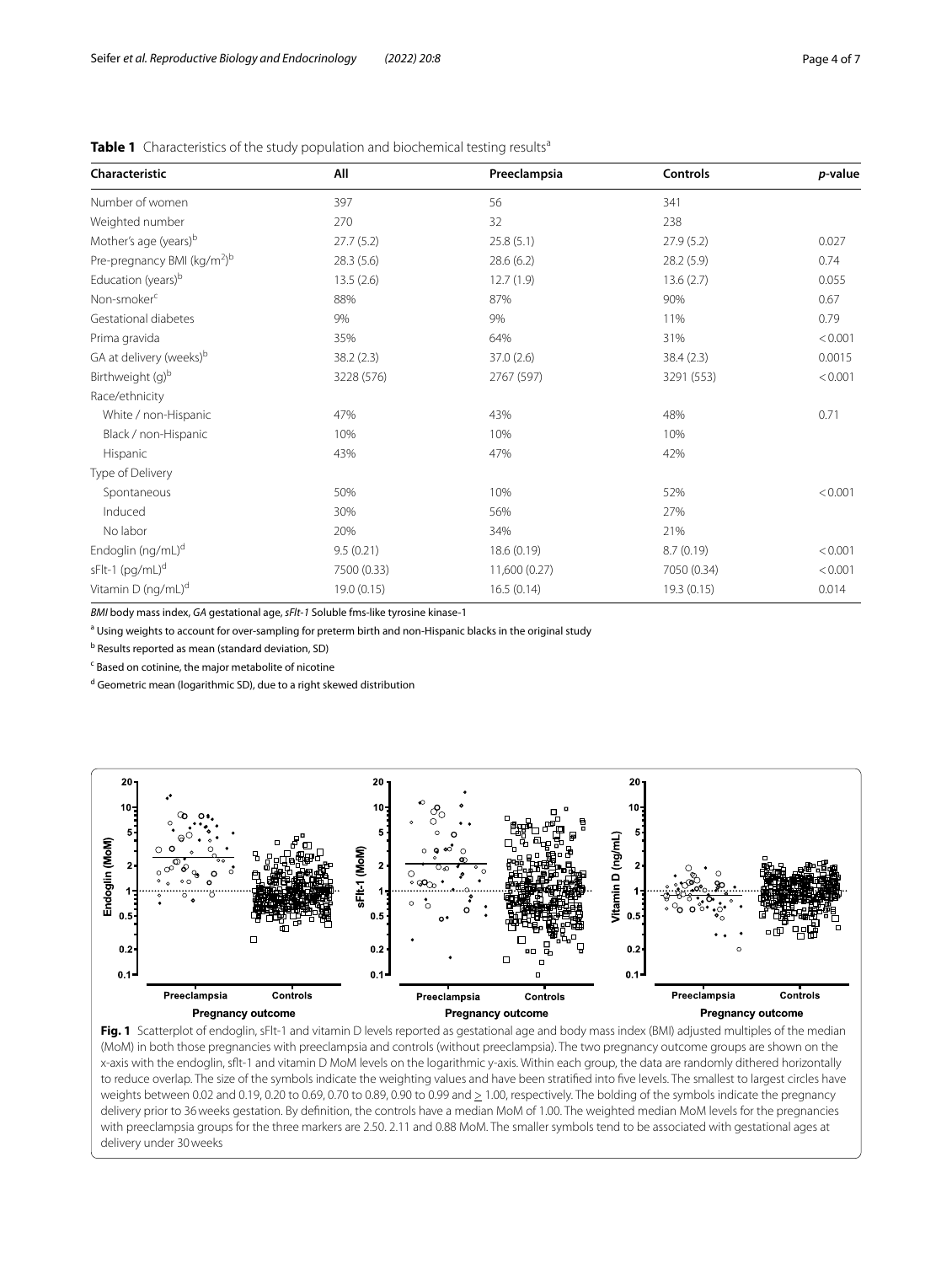| Characteristic                                     | All         | Preeclampsia  | <b>Controls</b> | p-value |
|----------------------------------------------------|-------------|---------------|-----------------|---------|
| Number of women                                    | 397         | 56            | 341             |         |
| Weighted number                                    | 270         | 32            | 238             |         |
| Mother's age (years) <sup>b</sup>                  | 27.7(5.2)   | 25.8(5.1)     | 27.9(5.2)       | 0.027   |
| Pre-pregnancy BMI ( $\text{kg/m}^2$ ) <sup>b</sup> | 28.3(5.6)   | 28.6(6.2)     | 28.2 (5.9)      | 0.74    |
| Education (years) <sup>b</sup>                     | 13.5(2.6)   | 12.7(1.9)     | 13.6(2.7)       | 0.055   |
| Non-smoker <sup>c</sup>                            | 88%         | 87%           | 90%             | 0.67    |
| Gestational diabetes                               | 9%          | 9%            | 11%             | 0.79    |
| Prima gravida                                      | 35%         | 64%           | 31%             | < 0.001 |
| GA at delivery (weeks) <sup>b</sup>                | 38.2 (2.3)  | 37.0(2.6)     | 38.4(2.3)       | 0.0015  |
| Birthweight (g) <sup>b</sup>                       | 3228 (576)  | 2767 (597)    | 3291 (553)      | < 0.001 |
| Race/ethnicity                                     |             |               |                 |         |
| White / non-Hispanic                               | 47%         | 43%           | 48%             | 0.71    |
| Black / non-Hispanic                               | 10%         | 10%           | 10%             |         |
| Hispanic                                           | 43%         | 47%           | 42%             |         |
| Type of Delivery                                   |             |               |                 |         |
| Spontaneous                                        | 50%         | 10%           | 52%             | < 0.001 |
| Induced                                            | 30%         | 56%           | 27%             |         |
| No labor                                           | 20%         | 34%           | 21%             |         |
| Endoglin (ng/mL) <sup>d</sup>                      | 9.5(0.21)   | 18.6(0.19)    | 8.7(0.19)       | < 0.001 |
| sFlt-1 (pg/mL) <sup>d</sup>                        | 7500 (0.33) | 11,600 (0.27) | 7050 (0.34)     | < 0.001 |
| Vitamin D (ng/mL) <sup>d</sup>                     | 19.0 (0.15) | 16.5(0.14)    | 19.3 (0.15)     | 0.014   |

<span id="page-3-0"></span>**Table 1** Characteristics of the study population and biochemical testing results<sup>a</sup>

*BMI* body mass index, *GA* gestational age, *sFlt-1* Soluble fms-like tyrosine kinase-1

a Using weights to account for over-sampling for preterm birth and non-Hispanic blacks in the original study

<sup>b</sup> Results reported as mean (standard deviation, SD)

<sup>c</sup> Based on cotinine, the major metabolite of nicotine

<sup>d</sup> Geometric mean (logarithmic SD), due to a right skewed distribution



<span id="page-3-1"></span>Fig. 1 Scatterplot of endoglin, sFlt-1 and vitamin D levels reported as gestational age and body mass index (BMI) adjusted multiples of the median (MoM) in both those pregnancies with preeclampsia and controls (without preeclampsia). The two pregnancy outcome groups are shown on the x-axis with the endoglin, sft-1 and vitamin D MoM levels on the logarithmic y-axis. Within each group, the data are randomly dithered horizontally to reduce overlap. The size of the symbols indicate the weighting values and have been stratifed into fve levels. The smallest to largest circles have weights between 0.02 and 0.19, 0.20 to 0.69, 0.70 to 0.89, 0.90 to 0.99 and  $\geq 1.00$ , respectively. The bolding of the symbols indicate the pregnancy delivery prior to 36weeks gestation. By defnition, the controls have a median MoM of 1.00. The weighted median MoM levels for the pregnancies with preeclampsia groups for the three markers are 2.50. 2.11 and 0.88 MoM. The smaller symbols tend to be associated with gestational ages at delivery under 30weeks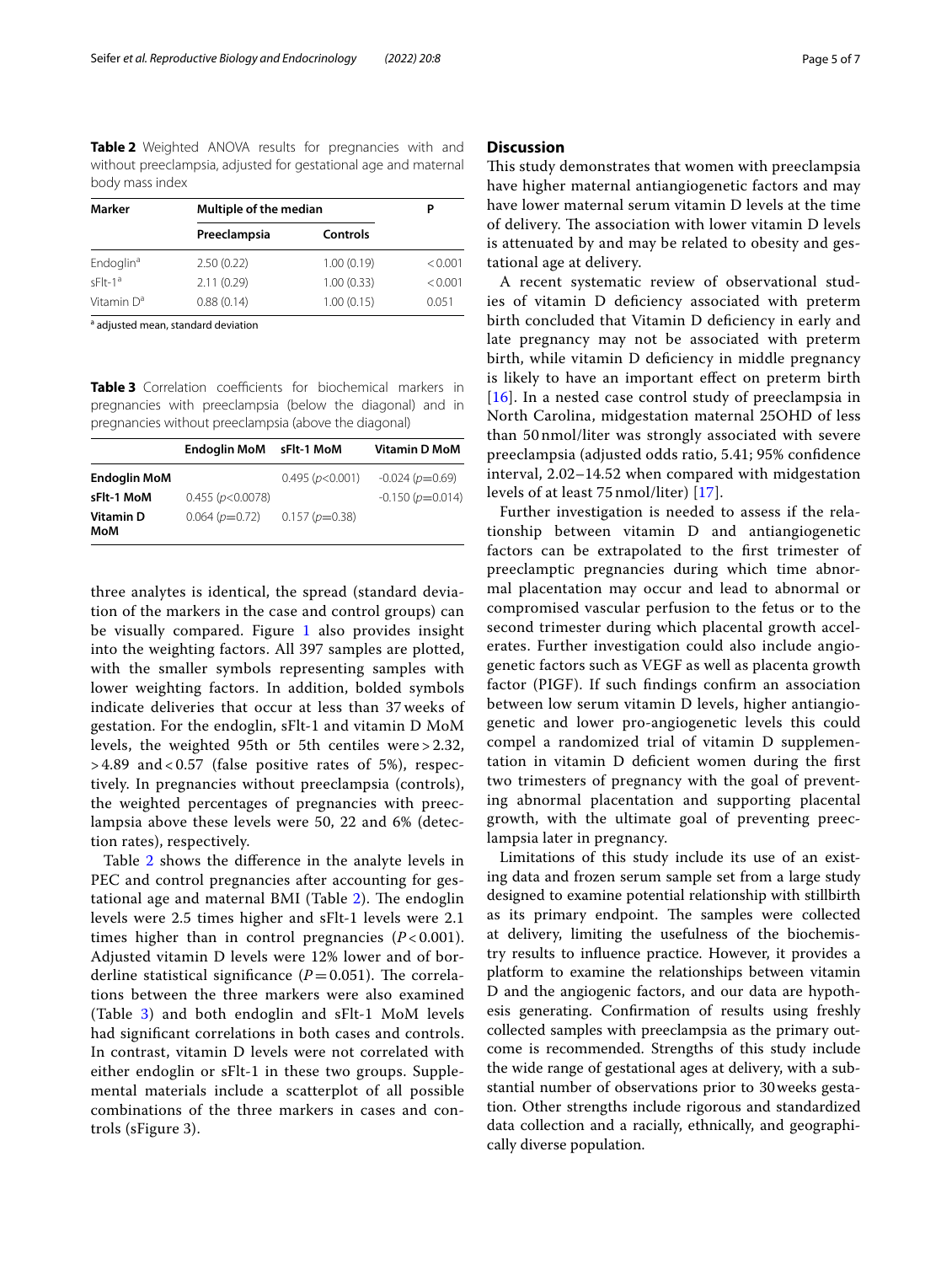<span id="page-4-0"></span>**Table 2** Weighted ANOVA results for pregnancies with and without preeclampsia, adjusted for gestational age and maternal body mass index

| <b>Marker</b>         | Multiple of the median | Р               |         |
|-----------------------|------------------------|-----------------|---------|
|                       | Preeclampsia           | <b>Controls</b> |         |
| Endoglin <sup>a</sup> | 2.50(0.22)             | 1.00(0.19)      | < 0.001 |
| $sF1t-1^a$            | 2.11(0.29)             | 1.00(0.33)      | < 0.001 |
| Vitamin $D^a$         | 0.88(0.14)             | 1.00(0.15)      | 0.051   |
|                       |                        |                 |         |

<sup>a</sup> adjusted mean, standard deviation

<span id="page-4-1"></span>**Table 3** Correlation coefficients for biochemical markers in pregnancies with preeclampsia (below the diagonal) and in pregnancies without preeclampsia (above the diagonal)

|                         | <b>Endoglin MoM</b> | sFlt-1 MoM      | <b>Vitamin D MoM</b>  |
|-------------------------|---------------------|-----------------|-----------------------|
| <b>Endoglin MoM</b>     |                     | 0.495 (p<0.001) | $-0.024$ ( $p=0.69$ ) |
| sFlt-1 MoM              | 0.455(p<0.0078)     |                 | $-0.150(p=0.014)$     |
| <b>Vitamin D</b><br>MoM | $0.064(p=0.72)$     | $0.157(p=0.38)$ |                       |

three analytes is identical, the spread (standard deviation of the markers in the case and control groups) can be visually compared. Figure [1](#page-3-1) also provides insight into the weighting factors. All 397 samples are plotted, with the smaller symbols representing samples with lower weighting factors. In addition, bolded symbols indicate deliveries that occur at less than 37 weeks of gestation. For the endoglin, sFlt-1 and vitamin D MoM levels, the weighted 95th or 5th centiles were > 2.32,  $> 4.89$  and  $< 0.57$  (false positive rates of 5%), respectively. In pregnancies without preeclampsia (controls), the weighted percentages of pregnancies with preeclampsia above these levels were 50, 22 and 6% (detection rates), respectively.

Table [2](#page-4-0) shows the diference in the analyte levels in PEC and control pregnancies after accounting for gestational age and maternal BMI (Table  $2$ ). The endoglin levels were 2.5 times higher and sFlt-1 levels were 2.1 times higher than in control pregnancies  $(P<0.001)$ . Adjusted vitamin D levels were 12% lower and of borderline statistical significance  $(P=0.051)$ . The correlations between the three markers were also examined (Table [3](#page-4-1)) and both endoglin and sFlt-1 MoM levels had signifcant correlations in both cases and controls. In contrast, vitamin D levels were not correlated with either endoglin or sFlt-1 in these two groups. Supplemental materials include a scatterplot of all possible combinations of the three markers in cases and controls (sFigure 3).

# **Discussion**

This study demonstrates that women with preeclampsia have higher maternal antiangiogenetic factors and may have lower maternal serum vitamin D levels at the time of delivery. The association with lower vitamin D levels is attenuated by and may be related to obesity and gestational age at delivery.

A recent systematic review of observational studies of vitamin D defciency associated with preterm birth concluded that Vitamin D defciency in early and late pregnancy may not be associated with preterm birth, while vitamin D defciency in middle pregnancy is likely to have an important efect on preterm birth [[16](#page-6-4)]. In a nested case control study of preeclampsia in North Carolina, midgestation maternal 25OHD of less than 50 nmol/liter was strongly associated with severe preeclampsia (adjusted odds ratio, 5.41; 95% confdence interval, 2.02–14.52 when compared with midgestation levels of at least 75 nmol/liter) [[17](#page-6-5)].

Further investigation is needed to assess if the relationship between vitamin D and antiangiogenetic factors can be extrapolated to the frst trimester of preeclamptic pregnancies during which time abnormal placentation may occur and lead to abnormal or compromised vascular perfusion to the fetus or to the second trimester during which placental growth accelerates. Further investigation could also include angiogenetic factors such as VEGF as well as placenta growth factor (PIGF). If such fndings confrm an association between low serum vitamin D levels, higher antiangiogenetic and lower pro-angiogenetic levels this could compel a randomized trial of vitamin D supplementation in vitamin D defcient women during the frst two trimesters of pregnancy with the goal of preventing abnormal placentation and supporting placental growth, with the ultimate goal of preventing preeclampsia later in pregnancy.

Limitations of this study include its use of an existing data and frozen serum sample set from a large study designed to examine potential relationship with stillbirth as its primary endpoint. The samples were collected at delivery, limiting the usefulness of the biochemistry results to infuence practice. However, it provides a platform to examine the relationships between vitamin D and the angiogenic factors, and our data are hypothesis generating. Confrmation of results using freshly collected samples with preeclampsia as the primary outcome is recommended. Strengths of this study include the wide range of gestational ages at delivery, with a substantial number of observations prior to 30weeks gestation. Other strengths include rigorous and standardized data collection and a racially, ethnically, and geographically diverse population.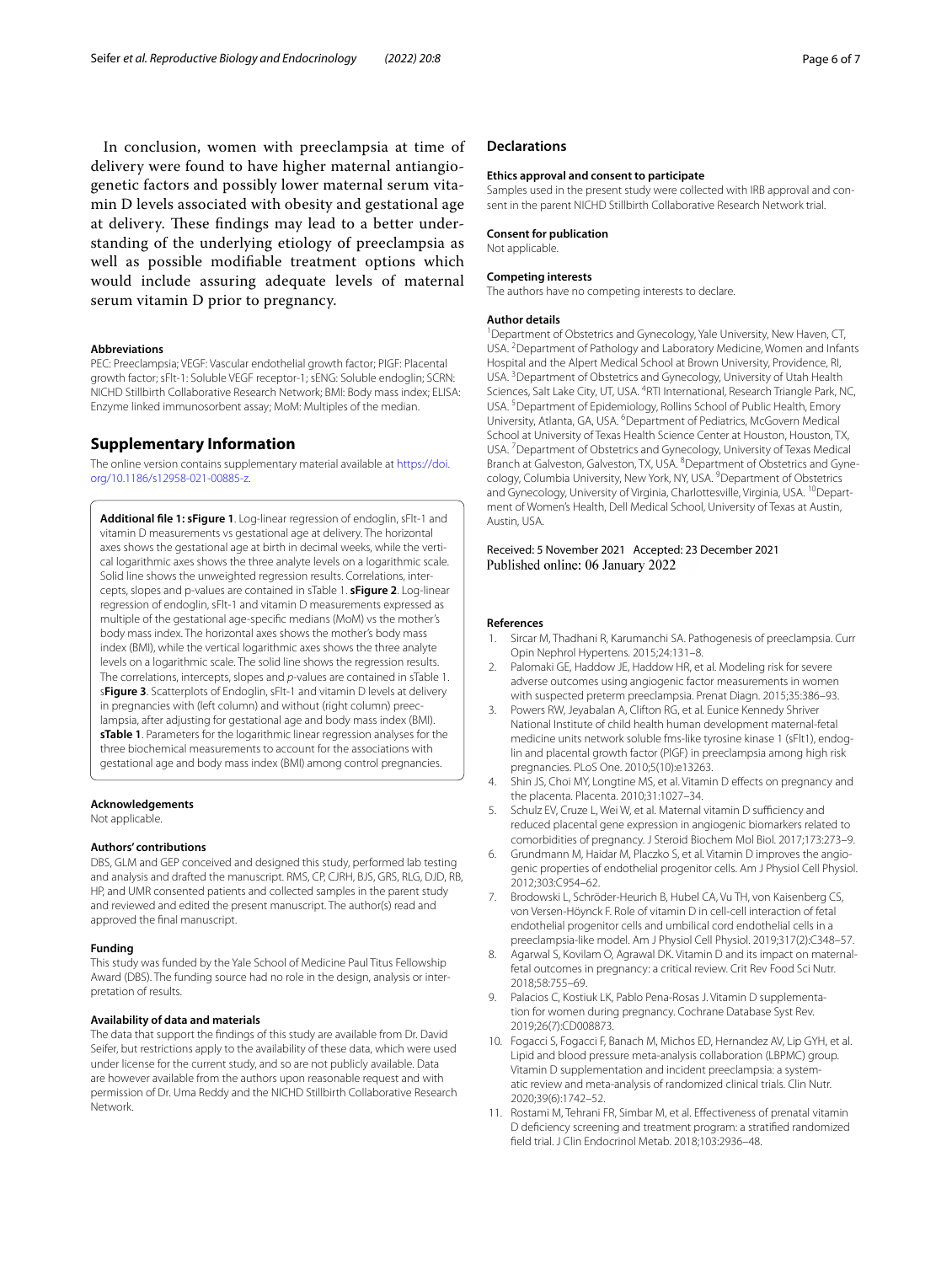In conclusion, women with preeclampsia at time of delivery were found to have higher maternal antiangiogenetic factors and possibly lower maternal serum vitamin D levels associated with obesity and gestational age at delivery. These findings may lead to a better understanding of the underlying etiology of preeclampsia as well as possible modifable treatment options which would include assuring adequate levels of maternal serum vitamin D prior to pregnancy.

#### **Abbreviations**

PEC: Preeclampsia; VEGF: Vascular endothelial growth factor; PIGF: Placental growth factor; sFlt-1: Soluble VEGF receptor-1; sENG: Soluble endoglin; SCRN: NICHD Stillbirth Collaborative Research Network; BMI: Body mass index; ELISA: Enzyme linked immunosorbent assay; MoM: Multiples of the median.

# **Supplementary Information**

The online version contains supplementary material available at [https://doi.](https://doi.org/10.1186/s12958-021-00885-z) [org/10.1186/s12958-021-00885-z.](https://doi.org/10.1186/s12958-021-00885-z)

<span id="page-5-11"></span>**Additional fle 1: sFigure 1**. Log-linear regression of endoglin, sFlt-1 and vitamin D measurements vs gestational age at delivery. The horizontal axes shows the gestational age at birth in decimal weeks, while the vertical logarithmic axes shows the three analyte levels on a logarithmic scale. Solid line shows the unweighted regression results. Correlations, intercepts, slopes and p-values are contained in sTable 1. **sFigure 2**. Log-linear regression of endoglin, sFlt-1 and vitamin D measurements expressed as multiple of the gestational age-specifc medians (MoM) vs the mother's body mass index. The horizontal axes shows the mother's body mass index (BMI), while the vertical logarithmic axes shows the three analyte levels on a logarithmic scale. The solid line shows the regression results. The correlations, intercepts, slopes and *p*-values are contained in sTable 1. s**Figure 3**. Scatterplots of Endoglin, sFlt-1 and vitamin D levels at delivery in pregnancies with (left column) and without (right column) preec‑ lampsia, after adjusting for gestational age and body mass index (BMI). **sTable 1**. Parameters for the logarithmic linear regression analyses for the three biochemical measurements to account for the associations with gestational age and body mass index (BMI) among control pregnancies.

### **Acknowledgements**

Not applicable.

#### **Authors' contributions**

DBS, GLM and GEP conceived and designed this study, performed lab testing and analysis and drafted the manuscript. RMS, CP, CJRH, BJS, GRS, RLG, DJD, RB, HP, and UMR consented patients and collected samples in the parent study and reviewed and edited the present manuscript. The author(s) read and approved the fnal manuscript.

# **Funding**

This study was funded by the Yale School of Medicine Paul Titus Fellowship Award (DBS). The funding source had no role in the design, analysis or interpretation of results.

## **Availability of data and materials**

The data that support the fndings of this study are available from Dr. David Seifer, but restrictions apply to the availability of these data, which were used under license for the current study, and so are not publicly available. Data are however available from the authors upon reasonable request and with permission of Dr. Uma Reddy and the NICHD Stillbirth Collaborative Research Network.

# **Declarations**

#### **Ethics approval and consent to participate**

Samples used in the present study were collected with IRB approval and consent in the parent NICHD Stillbirth Collaborative Research Network trial.

#### **Consent for publication**

Not applicable.

#### **Competing interests**

The authors have no competing interests to declare.

### **Author details**

<sup>1</sup> Department of Obstetrics and Gynecology, Yale University, New Haven, CT, USA. <sup>2</sup> Department of Pathology and Laboratory Medicine, Women and Infants Hospital and the Alpert Medical School at Brown University, Providence, RI, USA.<sup>3</sup> Department of Obstetrics and Gynecology, University of Utah Health Sciences, Salt Lake City, UT, USA. <sup>4</sup>RTI International, Research Triangle Park, NC, USA.<sup>5</sup> Department of Epidemiology, Rollins School of Public Health, Emory University, Atlanta, GA, USA. <sup>6</sup> Department of Pediatrics, McGovern Medical School at University of Texas Health Science Center at Houston, Houston, TX, USA.<sup>7</sup> Department of Obstetrics and Gynecology, University of Texas Medical Branch at Galveston, Galveston, TX, USA. <sup>8</sup> Department of Obstetrics and Gynecology, Columbia University, New York, NY, USA. <sup>9</sup> Department of Obstetrics and Gynecology, University of Virginia, Charlottesville, Virginia, USA. <sup>10</sup>Department of Women's Health, Dell Medical School, University of Texas at Austin, Austin, USA.

#### Received: 5 November 2021 Accepted: 23 December 2021 Published online: 06 January 2022

#### **References**

- <span id="page-5-0"></span>Sircar M, Thadhani R, Karumanchi SA. Pathogenesis of preeclampsia. Curr Opin Nephrol Hypertens. 2015;24:131–8.
- <span id="page-5-1"></span>2. Palomaki GE, Haddow JE, Haddow HR, et al. Modeling risk for severe adverse outcomes using angiogenic factor measurements in women with suspected preterm preeclampsia. Prenat Diagn. 2015;35:386–93.
- <span id="page-5-2"></span>3. Powers RW, Jeyabalan A, Clifton RG, et al. Eunice Kennedy Shriver National Institute of child health human development maternal-fetal medicine units network soluble fms-like tyrosine kinase 1 (sFlt1), endoglin and placental growth factor (PlGF) in preeclampsia among high risk pregnancies. PLoS One. 2010;5(10):e13263.
- <span id="page-5-3"></span>4. Shin JS, Choi MY, Longtine MS, et al. Vitamin D efects on pregnancy and the placenta. Placenta. 2010;31:1027–34.
- <span id="page-5-4"></span>5. Schulz EV, Cruze L, Wei W, et al. Maternal vitamin D sufficiency and reduced placental gene expression in angiogenic biomarkers related to comorbidities of pregnancy. J Steroid Biochem Mol Biol. 2017;173:273–9.
- <span id="page-5-5"></span>6. Grundmann M, Haidar M, Placzko S, et al. Vitamin D improves the angiogenic properties of endothelial progenitor cells. Am J Physiol Cell Physiol. 2012;303:C954–62.
- <span id="page-5-6"></span>7. Brodowski L, Schröder-Heurich B, Hubel CA, Vu TH, von Kaisenberg CS, von Versen-Höynck F. Role of vitamin D in cell-cell interaction of fetal endothelial progenitor cells and umbilical cord endothelial cells in a preeclampsia-like model. Am J Physiol Cell Physiol. 2019;317(2):C348–57.
- <span id="page-5-7"></span>8. Agarwal S, Kovilam O, Agrawal DK. Vitamin D and its impact on maternalfetal outcomes in pregnancy: a critical review. Crit Rev Food Sci Nutr. 2018;58:755–69.
- <span id="page-5-8"></span>9. Palacios C, Kostiuk LK, Pablo Pena-Rosas J. Vitamin D supplementation for women during pregnancy. Cochrane Database Syst Rev. 2019;26(7):CD008873.
- <span id="page-5-9"></span>10. Fogacci S, Fogacci F, Banach M, Michos ED, Hernandez AV, Lip GYH, et al. Lipid and blood pressure meta-analysis collaboration (LBPMC) group. Vitamin D supplementation and incident preeclampsia: a systematic review and meta-analysis of randomized clinical trials. Clin Nutr. 2020;39(6):1742–52.
- <span id="page-5-10"></span>11. Rostami M, Tehrani FR, Simbar M, et al. Efectiveness of prenatal vitamin D defciency screening and treatment program: a stratifed randomized feld trial. J Clin Endocrinol Metab. 2018;103:2936–48.